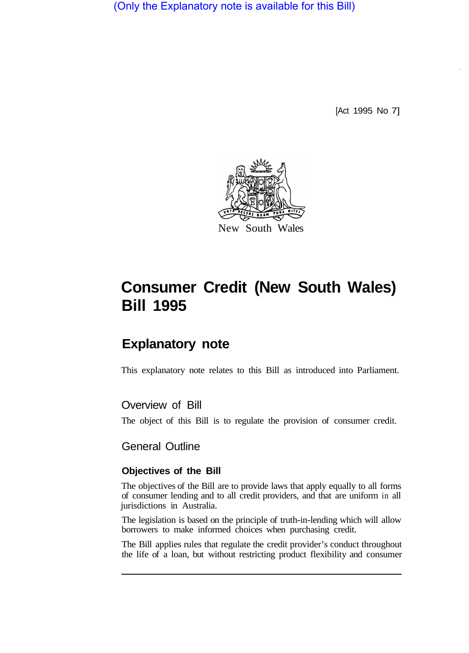(Only the Explanatory note is available for this Bill)

[Act 1995 No 7]



# **Consumer Credit (New South Wales) Bill 1995**

# **Explanatory note**

This explanatory note relates to this Bill as introduced into Parliament.

## Overview of Bill

The object of this Bill is to regulate the provision of consumer credit.

## General Outline

#### **Objectives of the Bill**

The objectives of the Bill are to provide laws that apply equally to all forms of consumer lending and to all credit providers, and that are uniform in all jurisdictions in Australia.

The legislation is based on the principle of truth-in-lending which will allow borrowers to make informed choices when purchasing credit.

The Bill applies rules that regulate the credit provider's conduct throughout the life of a loan, but without restricting product flexibility and consumer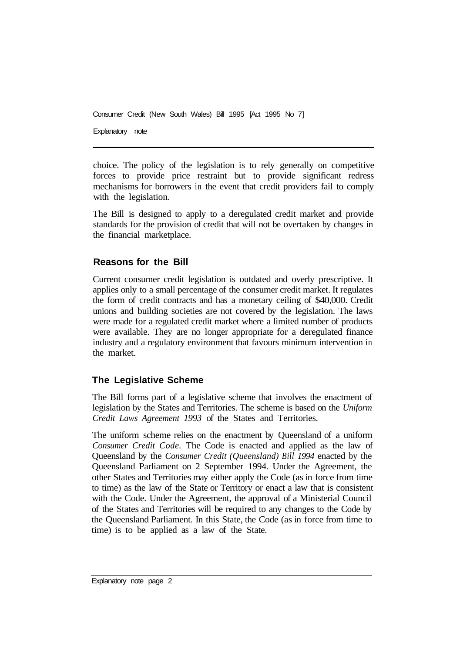Consumer Credit (New South Wales) Bill 1995 [Act 1995 No 7] Explanatory note

choice. The policy of the legislation is to rely generally on competitive forces to provide price restraint but to provide significant redress mechanisms for borrowers in the event that credit providers fail to comply with the legislation.

The Bill is designed to apply to a deregulated credit market and provide standards for the provision of credit that will not be overtaken by changes in the financial marketplace.

## **Reasons for the Bill**

Current consumer credit legislation is outdated and overly prescriptive. It applies only to a small percentage of the consumer credit market. It regulates the form of credit contracts and has a monetary ceiling of \$40,000. Credit unions and building societies are not covered by the legislation. The laws were made for a regulated credit market where a limited number of products were available. They are no longer appropriate for a deregulated finance industry and a regulatory environment that favours minimum intervention in the market.

## **The Legislative Scheme**

The Bill forms part of a legislative scheme that involves the enactment of legislation by the States and Territories. The scheme is based on the *Uniform Credit Laws Agreement 1993* of the States and Territories.

The uniform scheme relies on the enactment by Queensland of a uniform *Consumer Credit Code.* The Code is enacted and applied as the law of Queensland by the *Consumer Credit (Queensland) Bill 1994* enacted by the Queensland Parliament on 2 September 1994. Under the Agreement, the other States and Territories may either apply the Code (as in force from time to time) as the law of the State or Territory or enact a law that is consistent with the Code. Under the Agreement, the approval of a Ministerial Council of the States and Territories will be required to any changes to the Code by the Queensland Parliament. In this State, the Code (as in force from time to time) is to be applied as a law of the State.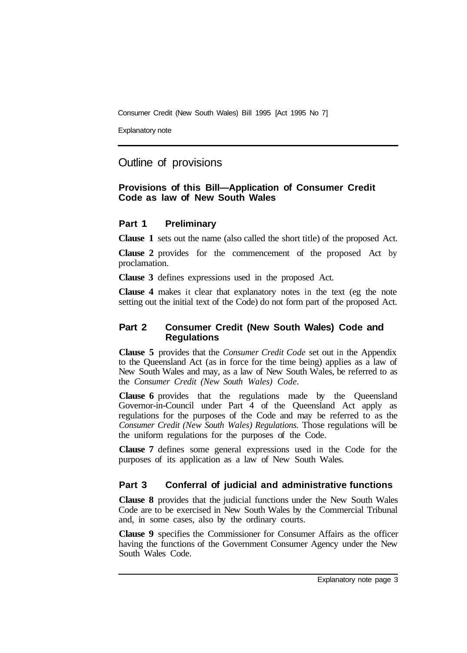Explanatory note

## Outline of provisions

#### **Provisions of this Bill—Application of Consumer Credit Code as law of New South Wales**

#### **Part 1 Preliminary**

**Clause 1** sets out the name (also called the short title) of the proposed Act.

**Clause 2** provides for the commencement of the proposed Act by proclamation.

**Clause 3** defines expressions used in the proposed Act.

**Clause 4** makes it clear that explanatory notes in the text (eg the note setting out the initial text of the Code) do not form part of the proposed Act.

#### **Part 2 Consumer Credit (New South Wales) Code and Regulations**

**Clause 5** provides that the *Consumer Credit Code* set out in the Appendix to the Queensland Act (as in force for the time being) applies as a law of New South Wales and may, as a law of New South Wales, be referred to as the *Consumer Credit (New South Wales) Code.* 

**Clause 6** provides that the regulations made by the Queensland Governor-in-Council under Part 4 of the Queensland Act apply as regulations for the purposes of the Code and may be referred to as the *Consumer Credit (New South Wales) Regulations.* Those regulations will be the uniform regulations for the purposes of the Code.

**Clause 7** defines some general expressions used in the Code for the purposes of its application as a law of New South Wales.

## **Part 3 Conferral of judicial and administrative functions**

**Clause 8** provides that the judicial functions under the New South Wales Code are to be exercised in New South Wales by the Commercial Tribunal and, in some cases, also by the ordinary courts.

**Clause 9** specifies the Commissioner for Consumer Affairs as the officer having the functions of the Government Consumer Agency under the New South Wales Code.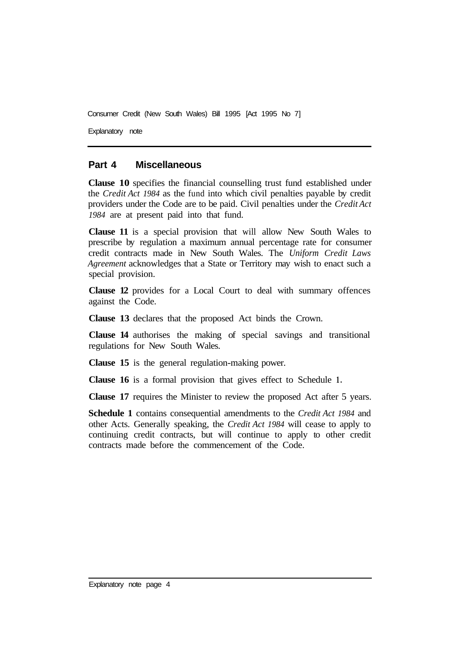Explanatory note

#### **Part 4 Miscellaneous**

**Clause 10** specifies the financial counselling trust fund established under the *Credit Act 1984* as the fund into which civil penalties payable by credit providers under the Code are to be paid. Civil penalties under the *Credit Act 1984* are at present paid into that fund.

**Clause 11** is a special provision that will allow New South Wales to prescribe by regulation a maximum annual percentage rate for consumer credit contracts made in New South Wales. The *Uniform Credit Laws Agreement* acknowledges that a State or Territory may wish to enact such a special provision.

**Clause 12** provides for a Local Court to deal with summary offences against the Code.

**Clause 13** declares that the proposed Act binds the Crown.

**Clause 14** authorises the making of special savings and transitional regulations for New South Wales.

**Clause 15** is the general regulation-making power.

**Clause 16** is a formal provision that gives effect to Schedule **1.** 

**Clause 17** requires the Minister to review the proposed Act after 5 years.

**Schedule 1** contains consequential amendments to the *Credit Act 1984* and other Acts. Generally speaking, the *Credit Act 1984* will cease to apply to continuing credit contracts, but will continue to apply to other credit contracts made before the commencement of the Code.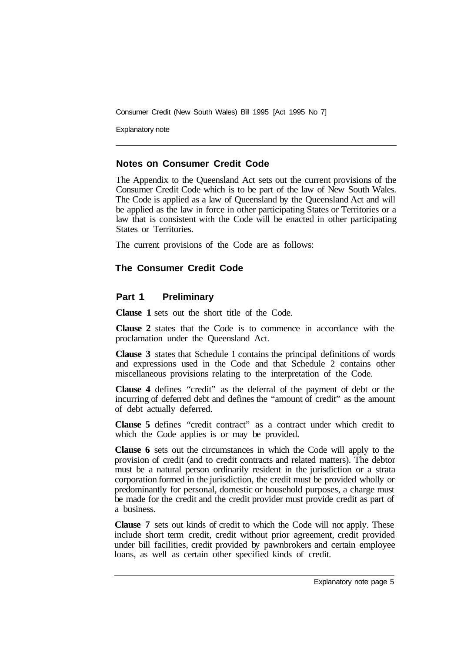Explanatory note

#### **Notes on Consumer Credit Code**

The Appendix to the Queensland Act sets out the current provisions of the Consumer Credit Code which is to be part of the law of New South Wales. The Code is applied as a law of Queensland by the Queensland Act and will be applied as the law in force in other participating States or Territories or a law that is consistent with the Code will be enacted in other participating States or Territories.

The current provisions of the Code are as follows:

## **The Consumer Credit Code**

#### **Part 1 Preliminary**

**Clause 1** sets out the short title of the Code.

**Clause 2** states that the Code is to commence in accordance with the proclamation under the Queensland Act.

**Clause 3** states that Schedule 1 contains the principal definitions of words and expressions used in the Code and that Schedule 2 contains other miscellaneous provisions relating to the interpretation of the Code.

**Clause 4** defines "credit" as the deferral of the payment of debt or the incurring of deferred debt and defines the "amount of credit" as the amount of debt actually deferred.

**Clause 5** defines "credit contract" as a contract under which credit to which the Code applies is or may be provided.

**Clause 6** sets out the circumstances in which the Code will apply to the provision of credit (and to credit contracts and related matters). The debtor must be a natural person ordinarily resident in the jurisdiction or a strata corporation formed in the jurisdiction, the credit must be provided wholly or predominantly for personal, domestic or household purposes, a charge must be made for the credit and the credit provider must provide credit as part of a business.

**Clause 7** sets out kinds of credit to which the Code will not apply. These include short term credit, credit without prior agreement, credit provided under bill facilities, credit provided by pawnbrokers and certain employee loans, as well as certain other specified kinds of credit.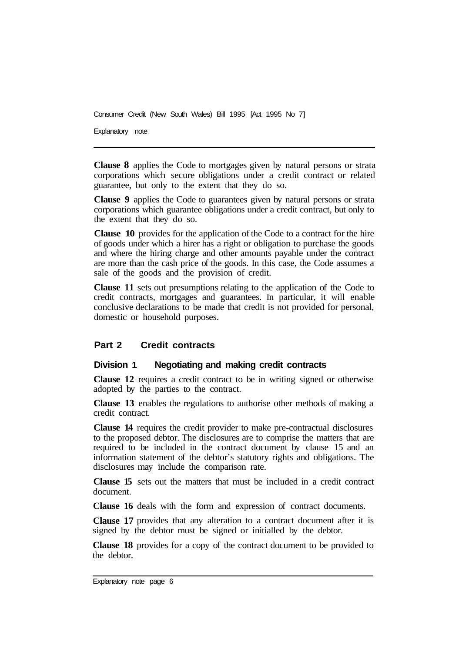Explanatory note

**Clause 8** applies the Code to mortgages given by natural persons or strata corporations which secure obligations under a credit contract or related guarantee, but only to the extent that they do so.

**Clause 9** applies the Code to guarantees given by natural persons or strata corporations which guarantee obligations under a credit contract, but only to the extent that they do so.

**Clause 10** provides for the application of the Code to a contract for the hire of goods under which a hirer has a right or obligation to purchase the goods and where the hiring charge and other amounts payable under the contract are more than the cash price of the goods. In this case, the Code assumes a sale of the goods and the provision of credit.

**Clause 11** sets out presumptions relating to the application of the Code to credit contracts, mortgages and guarantees. In particular, it will enable conclusive declarations to be made that credit is not provided for personal, domestic or household purposes.

## **Part 2 Credit contracts**

#### **Division 1 Negotiating and making credit contracts**

**Clause 12** requires a credit contract to be in writing signed or otherwise adopted by the parties to the contract.

**Clause 13** enables the regulations to authorise other methods of making a credit contract.

**Clause 14** requires the credit provider to make pre-contractual disclosures to the proposed debtor. The disclosures are to comprise the matters that are required to be included in the contract document by clause 15 and an information statement of the debtor's statutory rights and obligations. The disclosures may include the comparison rate.

**Clause 15**  sets out the matters that must be included in a credit contract document.

**Clause 16**  deals with the form and expression of contract documents.

**Clause 17**  provides that any alteration to a contract document after it is signed by the debtor must be signed or initialled by the debtor.

**Clause 18** provides for a copy of the contract document to be provided to the debtor.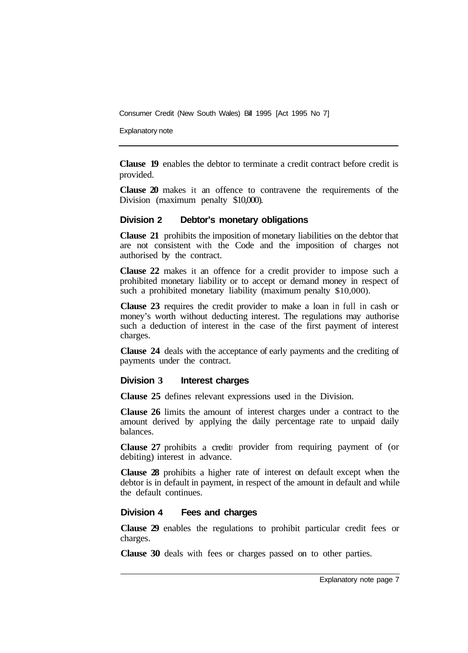Explanatory note

**Clause 19** enables the debtor to terminate a credit contract before credit is provided.

**Clause 20** makes it an offence to contravene the requirements of the Division (maximum penalty \$10,000).

#### **Division 2 Debtor's monetary obligations**

**Clause 21** prohibits the imposition of monetary liabilities on the debtor that are not consistent with the Code and the imposition of charges not authorised by the contract.

**Clause 22** makes it an offence for a credit provider to impose such a prohibited monetary liability or to accept or demand money in respect of such a prohibited monetary liability (maximum penalty \$10,000).

**Clause 23** requires the credit provider to make a loan in full in cash or money's worth without deducting interest. The regulations may authorise such a deduction of interest in the case of the first payment of interest charges.

**Clause 24** deals with the acceptance of early payments and the crediting of payments under the contract.

#### **Division 3 Interest charges**

**Clause 25** defines relevant expressions used in the Division.

**Clause 26** limits the amount of interest charges under a contract to the amount derived by applying the daily percentage rate to unpaid daily balances.

Clause 27 prohibits a credit provider from requiring payment of (or debiting) interest in advance.

**Clause 28** prohibits a higher rate of interest on default except when the debtor is in default in payment, in respect of the amount in default and while the default continues.

#### **Division 4 Fees and charges**

**Clause 29** enables the regulations to prohibit particular credit fees or charges.

**Clause 30** deals with fees or charges passed on to other parties.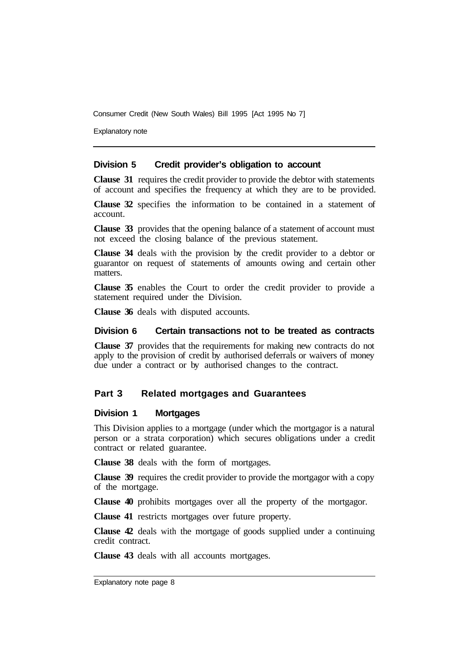Explanatory note

#### **Division 5 Credit provider's obligation to account**

**Clause 31** requires the credit provider to provide the debtor with statements of account and specifies the frequency at which they are to be provided.

**Clause 32** specifies the information to be contained in a statement of account.

**Clause 33** provides that the opening balance of a statement of account must not exceed the closing balance of the previous statement.

**Clause 34** deals with the provision by the credit provider to a debtor or guarantor on request of statements of amounts owing and certain other matters.

**Clause 35** enables the Court to order the credit provider to provide a statement required under the Division.

**Clause 36** deals with disputed accounts.

#### **Division 6 Certain transactions not to be treated as contracts**

**Clause 37** provides that the requirements for making new contracts do not apply to the provision of credit by authorised deferrals or waivers of money due under a contract or by authorised changes to the contract.

#### **Part 3 Related mortgages and Guarantees**

#### **Division 1 Mortgages**

This Division applies to a mortgage (under which the mortgagor is a natural person or a strata corporation) which secures obligations under a credit contract or related guarantee.

**Clause 38** deals with the form of mortgages.

**Clause 39** requires the credit provider to provide the mortgagor with a copy of the mortgage.

**Clause 40** prohibits mortgages over all the property of the mortgagor.

**Clause 41** restricts mortgages over future property.

**Clause 42** deals with the mortgage of goods supplied under a continuing credit contract.

**Clause 43** deals with all accounts mortgages.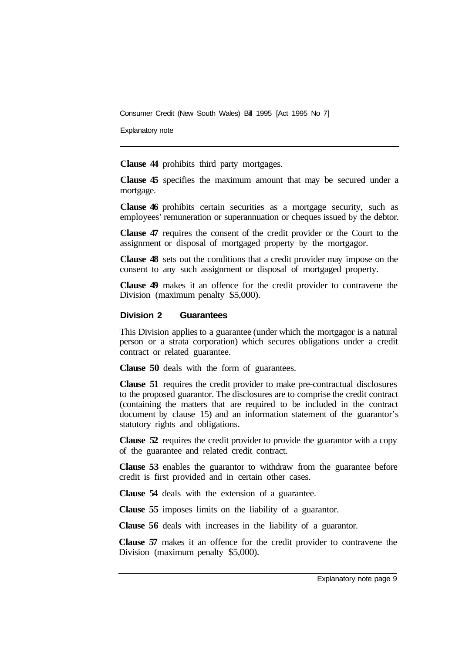Explanatory note

**Clause 44** prohibits third party mortgages.

**Clause 45** specifies the maximum amount that may be secured under a mortgage.

**Clause 46** prohibits certain securities as a mortgage security, such as employees' remuneration or superannuation or cheques issued by the debtor.

**Clause 47** requires the consent of the credit provider or the Court to the assignment or disposal of mortgaged property by the mortgagor.

**Clause 48** sets out the conditions that a credit provider may impose on the consent to any such assignment or disposal of mortgaged property.

**Clause 49** makes it an offence for the credit provider to contravene the Division (maximum penalty \$5,000).

#### **Division 2 Guarantees**

This Division applies to a guarantee (under which the mortgagor is a natural person or a strata corporation) which secures obligations under a credit contract or related guarantee.

**Clause 50** deals with the form of guarantees.

**Clause 51** requires the credit provider to make pre-contractual disclosures to the proposed guarantor. The disclosures are to comprise the credit contract (containing the matters that are required to be included in the contract document by clause 15) and an information statement of the guarantor's statutory rights and obligations.

**Clause 52** requires the credit provider to provide the guarantor with a copy of the guarantee and related credit contract.

**Clause 53** enables the guarantor to withdraw from the guarantee before credit is first provided and in certain other cases.

**Clause 54** deals with the extension of a guarantee.

**Clause 55** imposes limits on the liability of a guarantor.

**Clause 56** deals with increases in the liability of a guarantor.

**Clause 57** makes it an offence for the credit provider to contravene the Division (maximum penalty \$5,000).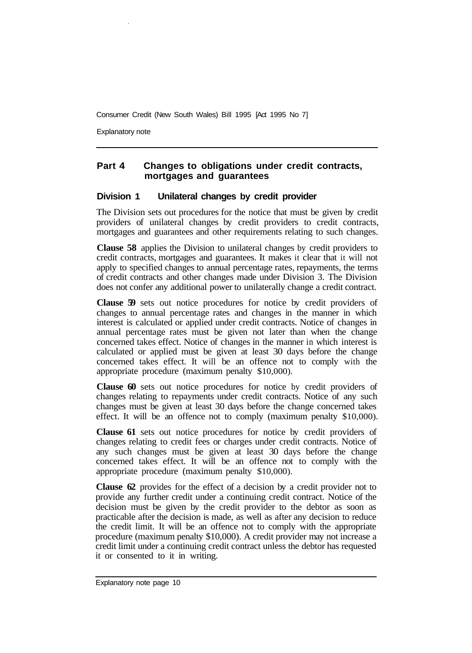Explanatory note

## **Part 4 Changes to obligations under credit contracts, mortgages and guarantees**

#### **Division 1 Unilateral changes by credit provider**

The Division sets out procedures for the notice that must be given by credit providers of unilateral changes by credit providers to credit contracts, mortgages and guarantees and other requirements relating to such changes.

**Clause 58** applies the Division to unilateral changes by credit providers to credit contracts, mortgages and guarantees. It makes it clear that it will not apply to specified changes to annual percentage rates, repayments, the terms of credit contracts and other changes made under Division 3. The Division does not confer any additional power to unilaterally change a credit contract.

**Clause 59** sets out notice procedures for notice by credit providers of changes to annual percentage rates and changes in the manner in which interest is calculated or applied under credit contracts. Notice of changes in annual percentage rates must be given not later than when the change concerned takes effect. Notice of changes in the manner in which interest is calculated or applied must be given at least 30 days before the change concerned takes effect. It will be an offence not to comply with the appropriate procedure (maximum penalty \$10,000).

**Clause 60** sets out notice procedures for notice by credit providers of changes relating to repayments under credit contracts. Notice of any such changes must be given at least 30 days before the change concerned takes effect. It will be an offence not to comply (maximum penalty \$10,000).

**Clause 61** sets out notice procedures for notice by credit providers of changes relating to credit fees or charges under credit contracts. Notice of any such changes must be given at least 30 days before the change concerned takes effect. It will be an offence not to comply with the appropriate procedure (maximum penalty \$10,000).

**Clause 62** provides for the effect of a decision by a credit provider not to provide any further credit under a continuing credit contract. Notice of the decision must be given by the credit provider to the debtor as soon as practicable after the decision is made, as well as after any decision to reduce the credit limit. It will be an offence not to comply with the appropriate procedure (maximum penalty \$10,000). A credit provider may not increase a credit limit under a continuing credit contract unless the debtor has requested it or consented to it in writing.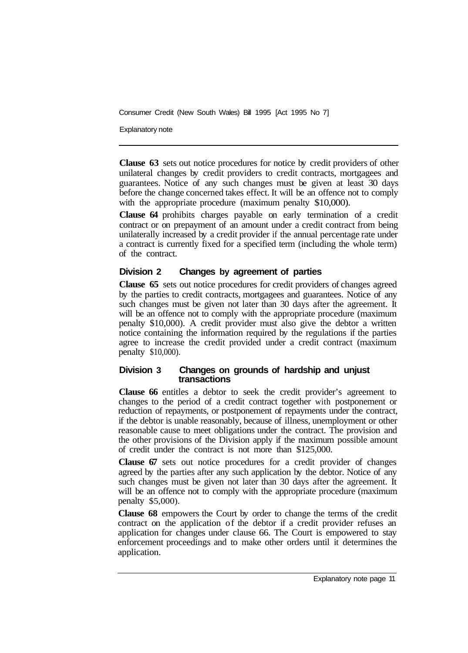Explanatory note

**Clause 63** sets out notice procedures for notice by credit providers of other unilateral changes by credit providers to credit contracts, mortgagees and guarantees. Notice of any such changes must be given at least 30 days before the change concerned takes effect. It will be an offence not to comply with the appropriate procedure (maximum penalty \$10,000).

**Clause 64** prohibits charges payable on early termination of a credit contract or on prepayment of an amount under a credit contract from being unilaterally increased by a credit provider if the annual percentage rate under a contract is currently fixed for a specified term (including the whole term) of the contract.

## **Division 2 Changes by agreement of parties**

**Clause 65** sets out notice procedures for credit providers of changes agreed by the parties to credit contracts, mortgagees and guarantees. Notice of any such changes must be given not later than 30 days after the agreement. It will be an offence not to comply with the appropriate procedure (maximum penalty \$10,000). A credit provider must also give the debtor a written notice containing the information required by the regulations if the parties agree to increase the credit provided under a credit contract (maximum penalty \$10,000).

#### **Division 3 Changes on grounds of hardship and unjust transactions**

**Clause 66** entitles a debtor to seek the credit provider's agreement to changes to the period of a credit contract together with postponement or reduction of repayments, or postponement of repayments under the contract, if the debtor is unable reasonably, because of illness, unemployment or other reasonable cause to meet obligations under the contract. The provision and the other provisions of the Division apply if the maximum possible amount of credit under the contract is not more than \$125,000.

**Clause 67** sets out notice procedures for a credit provider of changes agreed by the parties after any such application by the debtor. Notice of any such changes must be given not later than 30 days after the agreement. It will be an offence not to comply with the appropriate procedure (maximum penalty \$5,000).

**Clause 68** empowers the Court by order to change the terms of the credit contract on the application of the debtor if a credit provider refuses an application for changes under clause 66. The Court is empowered to stay enforcement proceedings and to make other orders until it determines the application.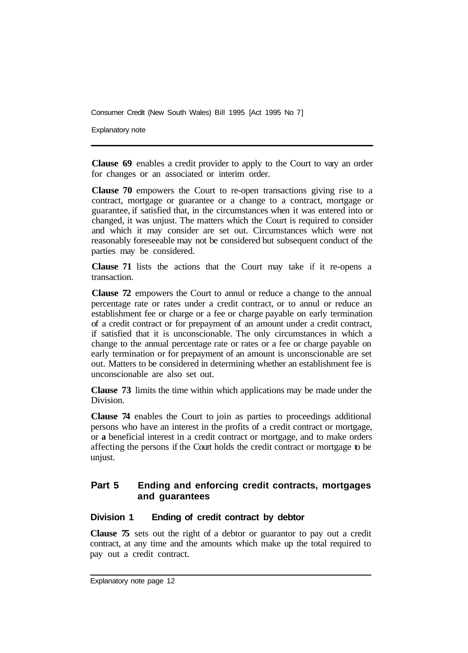Explanatory note

**Clause 69** enables a credit provider to apply to the Court to vary an order for changes or an associated or interim order.

**Clause 70** empowers the Court to re-open transactions giving rise to a contract, mortgage or guarantee or a change to a contract, mortgage or guarantee, if satisfied that, in the circumstances when it was entered into or changed, it was unjust. The matters which the Court is required to consider and which it may consider are set out. Circumstances which were not reasonably foreseeable may not be considered but subsequent conduct of the parties may be considered.

**Clause 71** lists the actions that the Court may take if it re-opens a transaction.

**Clause 72** empowers the Court to annul or reduce a change to the annual percentage rate or rates under a credit contract, or to annul or reduce an establishment fee or charge or a fee or charge payable on early termination of a credit contract or for prepayment of an amount under a credit contract, if satisfied that it is unconscionable. The only circumstances in which a change to the annual percentage rate or rates or a fee or charge payable on early termination or for prepayment of an amount is unconscionable are set out. Matters to be considered in determining whether an establishment fee is unconscionable are also set out.

**Clause 73** limits the time within which applications may be made under the Division.

**Clause 74** enables the Court to join as parties to proceedings additional persons who have an interest in the profits of a credit contract or mortgage, or **a** beneficial interest in a credit contract or mortgage, and to make orders affecting the persons if the Court holds the credit contract or mortgage to be unjust.

## **Part 5 Ending and enforcing credit contracts, mortgages and guarantees**

#### **Division 1 Ending of credit contract by debtor**

**Clause 75** sets out the right of a debtor or guarantor to pay out a credit contract, at any time and the amounts which make up the total required to pay out a credit contract.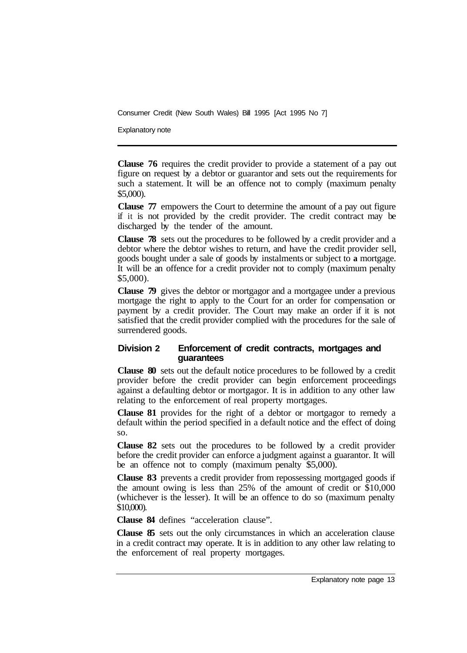Explanatory note

**Clause 76** requires the credit provider to provide a statement of a pay out figure on request by a debtor or guarantor and sets out the requirements for such a statement. It will be an offence not to comply (maximum penalty \$5,000).

**Clause 77** empowers the Court to determine the amount of a pay out figure if it is not provided by the credit provider. The credit contract may be discharged by the tender of the amount.

**Clause 78** sets out the procedures to be followed by a credit provider and a debtor where the debtor wishes to return, and have the credit provider sell, goods bought under a sale of goods by instalments or subject to **a** mortgage. It will be an offence for a credit provider not to comply (maximum penalty \$5,000).

**Clause 79** gives the debtor or mortgagor and a mortgagee under a previous mortgage the right to apply to the Court for an order for compensation or payment by a credit provider. The Court may make an order if it is not satisfied that the credit provider complied with the procedures for the sale of surrendered goods.

#### **Division 2 Enforcement of credit contracts, mortgages and guarantees**

**Clause 80** sets out the default notice procedures to be followed by a credit provider before the credit provider can begin enforcement proceedings against a defaulting debtor or mortgagor. It is in addition to any other law relating to the enforcement of real property mortgages.

**Clause 81** provides for the right of a debtor or mortgagor to remedy a default within the period specified in a default notice and the effect of doing so.

**Clause 82** sets out the procedures to be followed by a credit provider before the credit provider can enforce a judgment against a guarantor. It will be an offence not to comply (maximum penalty \$5,000).

**Clause 83** prevents a credit provider from repossessing mortgaged goods if the amount owing is less than 25% of the amount of credit or \$10,000 (whichever is the lesser). It will be an offence to do so (maximum penalty \$10,000).

**Clause 84** defines "acceleration clause".

**Clause 85** sets out the only circumstances in which an acceleration clause in a credit contract may operate. It is in addition to any other law relating to the enforcement of real property mortgages.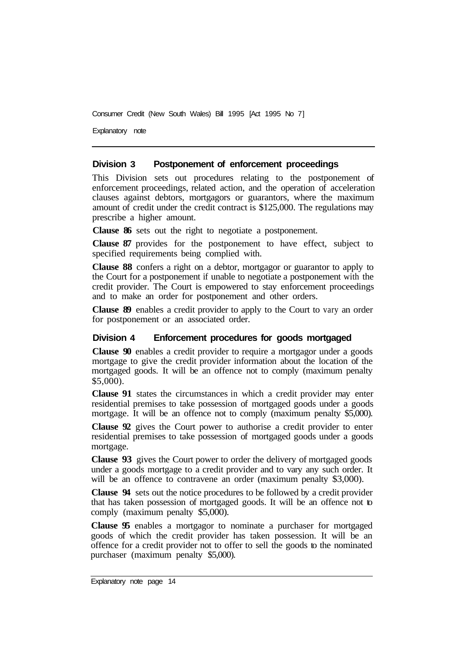Explanatory note

#### **Division 3 Postponement of enforcement proceedings**

This Division sets out procedures relating to the postponement of enforcement proceedings, related action, and the operation of acceleration clauses against debtors, mortgagors or guarantors, where the maximum amount of credit under the credit contract is \$125,000. The regulations may prescribe a higher amount.

**Clause 86** sets out the right to negotiate a postponement.

**Clause 87** provides for the postponement to have effect, subject to specified requirements being complied with.

**Clause 88** confers a right on a debtor, mortgagor or guarantor to apply to the Court for a postponement if unable to negotiate a postponement with the credit provider. The Court is empowered to stay enforcement proceedings and to make an order for postponement and other orders.

**Clause 89** enables a credit provider to apply to the Court to vary an order for postponement or an associated order.

#### **Division 4 Enforcement procedures for goods mortgaged**

**Clause 90** enables a credit provider to require a mortgagor under a goods mortgage to give the credit provider information about the location of the mortgaged goods. It will be an offence not to comply (maximum penalty \$5,000).

**Clause 91** states the circumstances in which a credit provider may enter residential premises to take possession of mortgaged goods under a goods mortgage. It will be an offence not to comply (maximum penalty \$5,000).

**Clause 92** gives the Court power to authorise a credit provider to enter residential premises to take possession of mortgaged goods under a goods mortgage.

**Clause 93** gives the Court power to order the delivery of mortgaged goods under a goods mortgage to a credit provider and to vary any such order. It will be an offence to contravene an order (maximum penalty \$3,000).

**Clause 94** sets out the notice procedures to be followed by a credit provider that has taken possession of mortgaged goods. It will be an offence not to comply (maximum penalty \$5,000).

**Clause 95** enables a mortgagor to nominate a purchaser for mortgaged goods of which the credit provider has taken possession. It will be an offence for a credit provider not to offer to sell the goods to the nominated purchaser (maximum penalty \$5,000).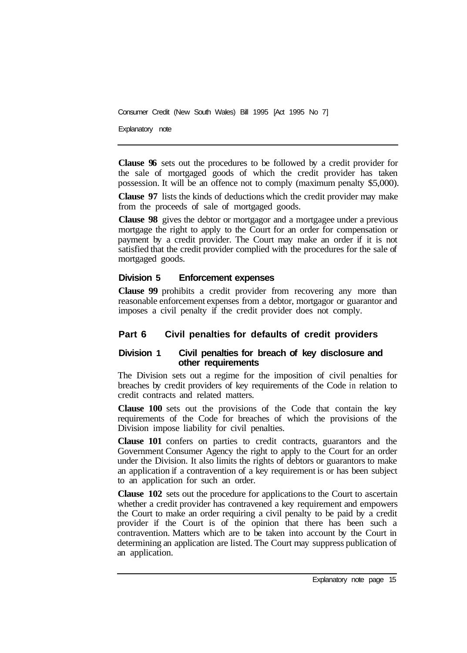Explanatory note

**Clause 96** sets out the procedures to be followed by a credit provider for the sale of mortgaged goods of which the credit provider has taken possession. It will be an offence not to comply (maximum penalty \$5,000).

**Clause 97** lists the kinds of deductions which the credit provider may make from the proceeds of sale of mortgaged goods.

**Clause 98** gives the debtor or mortgagor and a mortgagee under a previous mortgage the right to apply to the Court for an order for compensation or payment by a credit provider. The Court may make an order if it is not satisfied that the credit provider complied with the procedures for the sale of mortgaged goods.

#### **Division 5 Enforcement expenses**

**Clause 99** prohibits a credit provider from recovering any more than reasonable enforcement expenses from a debtor, mortgagor or guarantor and imposes a civil penalty if the credit provider does not comply.

## **Part 6 Civil penalties for defaults of credit providers**

#### **Division 1 Civil penalties for breach of key disclosure and other requirements**

The Division sets out a regime for the imposition of civil penalties for breaches by credit providers of key requirements of the Code in relation to credit contracts and related matters.

**Clause 100** sets out the provisions of the Code that contain the key requirements of the Code for breaches of which the provisions of the Division impose liability for civil penalties.

**Clause 101** confers on parties to credit contracts, guarantors and the Government Consumer Agency the right to apply to the Court for an order under the Division. It also limits the rights of debtors or guarantors to make an application if a contravention of a key requirement is or has been subject to an application for such an order.

**Clause 102** sets out the procedure for applications to the Court to ascertain whether a credit provider has contravened a key requirement and empowers the Court to make an order requiring a civil penalty to be paid by a credit provider if the Court is of the opinion that there has been such a contravention. Matters which are to be taken into account by the Court in determining an application are listed. The Court may suppress publication of an application.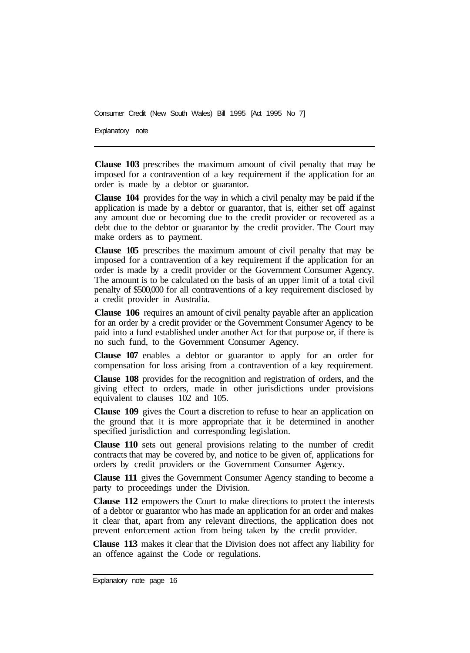Explanatory note

**Clause 103** prescribes the maximum amount of civil penalty that may be imposed for a contravention of a key requirement if the application for an order is made by a debtor or guarantor.

**Clause 104** provides for the way in which a civil penalty may be paid if the application is made by a debtor or guarantor, that is, either set off against any amount due or becoming due to the credit provider or recovered as a debt due to the debtor or guarantor by the credit provider. The Court may make orders as to payment.

**Clause 105** prescribes the maximum amount of civil penalty that may be imposed for a contravention of a key requirement if the application for an order is made by a credit provider or the Government Consumer Agency. The amount is to be calculated on the basis of an upper limit of a total civil penalty of \$500,000 for all contraventions of a key requirement disclosed by a credit provider in Australia.

**Clause 106** requires an amount of civil penalty payable after an application for an order by a credit provider or the Government Consumer Agency to be paid into a fund established under another Act for that purpose or, if there is no such fund, to the Government Consumer Agency.

**Clause 107** enables a debtor or guarantor to apply for an order for compensation for loss arising from a contravention of a key requirement.

**Clause 108** provides for the recognition and registration of orders, and the giving effect to orders, made in other jurisdictions under provisions equivalent to clauses 102 and 105.

**Clause 109** gives the Court **a** discretion to refuse to hear an application on the ground that it is more appropriate that it be determined in another specified jurisdiction and corresponding legislation.

**Clause 110** sets out general provisions relating to the number of credit contracts that may be covered by, and notice to be given of, applications for orders by credit providers or the Government Consumer Agency.

**Clause 111** gives the Government Consumer Agency standing to become a party to proceedings under the Division.

**Clause 112** empowers the Court to make directions to protect the interests of a debtor or guarantor who has made an application for an order and makes it clear that, apart from any relevant directions, the application does not prevent enforcement action from being taken by the credit provider.

**Clause 113** makes it clear that the Division does not affect any liability for an offence against the Code or regulations.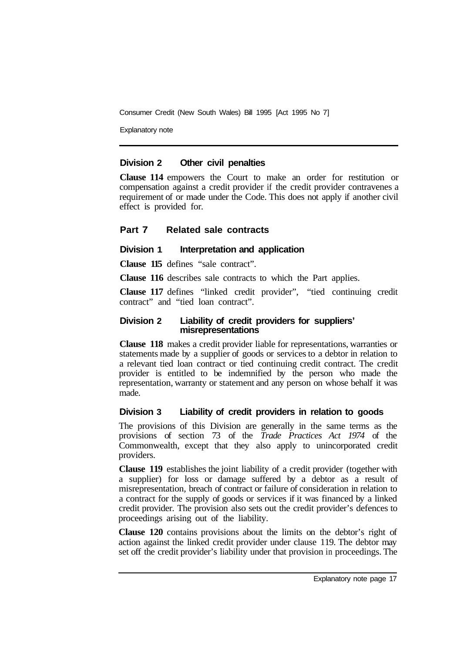Explanatory note

#### **Division 2 Other civil penalties**

**Clause 114** empowers the Court to make an order for restitution or compensation against a credit provider if the credit provider contravenes a requirement of or made under the Code. This does not apply if another civil effect is provided for.

#### **Part 7 Related sale contracts**

#### **Division 1** Interpretation and application

**Clause 115** defines "sale contract".

**Clause 116** describes sale contracts to which the Part applies.

**Clause 117** defines "linked credit provider", "tied continuing credit contract" and "tied loan contract".

#### **Division 2 Liability of credit providers for suppliers' misrepresentations**

**Clause 118** makes a credit provider liable for representations, warranties or statements made by a supplier of goods or services to a debtor in relation to a relevant tied loan contract or tied continuing credit contract. The credit provider is entitled to be indemnified by the person who made the representation, warranty or statement and any person on whose behalf it was made.

## **Division 3 Liability of credit providers in relation to goods**

The provisions of this Division are generally in the same terms as the provisions of section 73 of the *Trade Practices Act 1974* of the Commonwealth, except that they also apply to unincorporated credit providers.

**Clause 119** establishes the joint liability of a credit provider (together with a supplier) for loss or damage suffered by a debtor as a result of misrepresentation, breach of contract or failure of consideration in relation to a contract for the supply of goods or services if it was financed by a linked credit provider. The provision also sets out the credit provider's defences to proceedings arising out of the liability.

**Clause 120** contains provisions about the limits on the debtor's right of action against the linked credit provider under clause 119. The debtor may set off the credit provider's liability under that provision in proceedings. The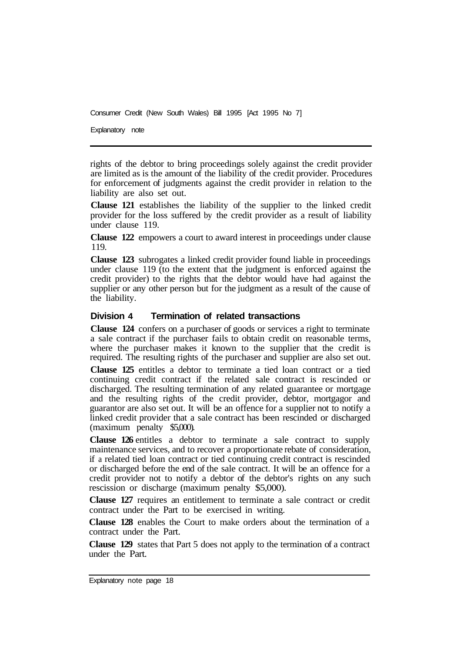Explanatory note

rights of the debtor to bring proceedings solely against the credit provider are limited as is the amount of the liability of the credit provider. Procedures for enforcement of judgments against the credit provider in relation to the liability are also set out.

**Clause 121** establishes the liability of the supplier to the linked credit provider for the loss suffered by the credit provider as a result of liability under clause 119.

**Clause 122** empowers a court to award interest in proceedings under clause 119.

**Clause 123** subrogates a linked credit provider found liable in proceedings under clause 119 (to the extent that the judgment is enforced against the credit provider) to the rights that the debtor would have had against the supplier or any other person but for the judgment as a result of the cause of the liability.

#### **Division 4 Termination of related transactions**

**Clause 124** confers on a purchaser of goods or services a right to terminate a sale contract if the purchaser fails to obtain credit on reasonable terms, where the purchaser makes it known to the supplier that the credit is required. The resulting rights of the purchaser and supplier are also set out.

**Clause 125** entitles a debtor to terminate a tied loan contract or a tied continuing credit contract if the related sale contract is rescinded or discharged. The resulting termination of any related guarantee or mortgage and the resulting rights of the credit provider, debtor, mortgagor and guarantor are also set out. It will be an offence for a supplier not to notify a linked credit provider that a sale contract has been rescinded or discharged (maximum penalty \$5,000).

**Clause 126** entitles a debtor to terminate a sale contract to supply maintenance services, and to recover a proportionate rebate of consideration, if a related tied loan contract or tied continuing credit contract is rescinded or discharged before the end of the sale contract. It will be an offence for a credit provider not to notify a debtor of the debtor's rights on any such rescission or discharge (maximum penalty \$5,000).

**Clause 127** requires an entitlement to terminate a sale contract or credit contract under the Part to be exercised in writing.

**Clause 128** enables the Court to make orders about the termination of a contract under the Part.

**Clause 129** states that Part 5 does not apply to the termination of a contract under the Part.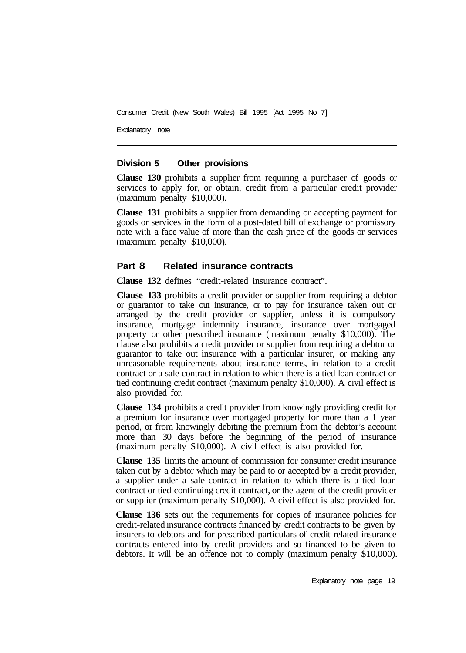Explanatory note

#### **Division 5 Other provisions**

**Clause 130** prohibits a supplier from requiring a purchaser of goods or services to apply for, or obtain, credit from a particular credit provider (maximum penalty \$10,000).

**Clause 131** prohibits a supplier from demanding or accepting payment for goods or services in the form of a post-dated bill of exchange or promissory note with a face value of more than the cash price of the goods or services (maximum penalty \$10,000).

#### **Part 8 Related insurance contracts**

**Clause 132** defines "credit-related insurance contract".

**Clause 133** prohibits a credit provider or supplier from requiring a debtor or guarantor to take out insurance, or to pay for insurance taken out or arranged by the credit provider or supplier, unless it is compulsory insurance, mortgage indemnity insurance, insurance over mortgaged property or other prescribed insurance (maximum penalty \$10,000). The clause also prohibits a credit provider or supplier from requiring a debtor or guarantor to take out insurance with a particular insurer, or making any unreasonable requirements about insurance terms, in relation to a credit contract or a sale contract in relation to which there is a tied loan contract or tied continuing credit contract (maximum penalty \$10,000). A civil effect is also provided for.

**Clause 134** prohibits a credit provider from knowingly providing credit for a premium for insurance over mortgaged property for more than a **1** year period, or from knowingly debiting the premium from the debtor's account more than 30 days before the beginning of the period of insurance (maximum penalty \$10,000). A civil effect is also provided for.

**Clause 135** limits the amount of commission for consumer credit insurance taken out by a debtor which may be paid to or accepted by a credit provider, a supplier under a sale contract in relation to which there is a tied loan contract or tied continuing credit contract, or the agent of the credit provider or supplier (maximum penalty \$10,000). A civil effect is also provided for.

**Clause 136** sets out the requirements for copies of insurance policies for credit-related insurance contracts financed by credit contracts to be given by insurers to debtors and for prescribed particulars of credit-related insurance contracts entered into by credit providers and so financed to be given to debtors. It will be an offence not to comply (maximum penalty \$10,000).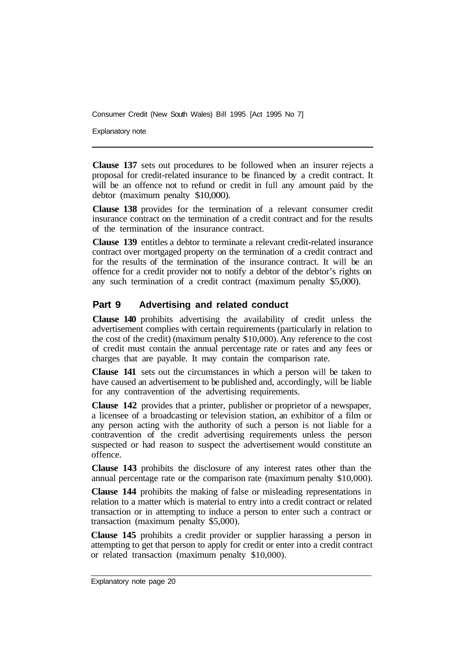Explanatory note

**Clause 137** sets out procedures to be followed when an insurer rejects a proposal for credit-related insurance to be financed by a credit contract. It will be an offence not to refund or credit in full any amount paid by the debtor (maximum penalty \$10,000).

**Clause 138** provides for the termination of a relevant consumer credit insurance contract on the termination of a credit contract and for the results of the termination of the insurance contract.

**Clause 139** entitles a debtor to terminate a relevant credit-related insurance contract over mortgaged property on the termination of a credit contract and for the results of the termination of the insurance contract. It will be an offence for a credit provider not to notify a debtor of the debtor's rights on any such termination of a credit contract (maximum penalty \$5,000).

## **Part 9 Advertising and related conduct**

**Clause 140** prohibits advertising the availability of credit unless the advertisement complies with certain requirements (particularly in relation to the cost of the credit) (maximum penalty \$10,000). Any reference to the cost of credit must contain the annual percentage rate or rates and any fees or charges that are payable. It may contain the comparison rate.

**Clause 141** sets out the circumstances in which a person will be taken to have caused an advertisement to be published and, accordingly, will be liable for any contravention of the advertising requirements.

**Clause 142** provides that a printer, publisher or proprietor of a newspaper, a licensee of a broadcasting or television station, an exhibitor of a film or any person acting with the authority of such a person is not liable for a contravention of the credit advertising requirements unless the person suspected or had reason to suspect the advertisement would constitute an offence.

**Clause 143** prohibits the disclosure of any interest rates other than the annual percentage rate or the comparison rate (maximum penalty \$10,000).

**Clause 144** prohibits the making of false or misleading representations in relation to a matter which is material to entry into a credit contract or related transaction or in attempting to induce a person to enter such a contract or transaction (maximum penalty \$5,000).

**Clause 145** prohibits a credit provider or supplier harassing a person in attempting to get that person to apply for credit or enter into a credit contract or related transaction (maximum penalty \$10,000).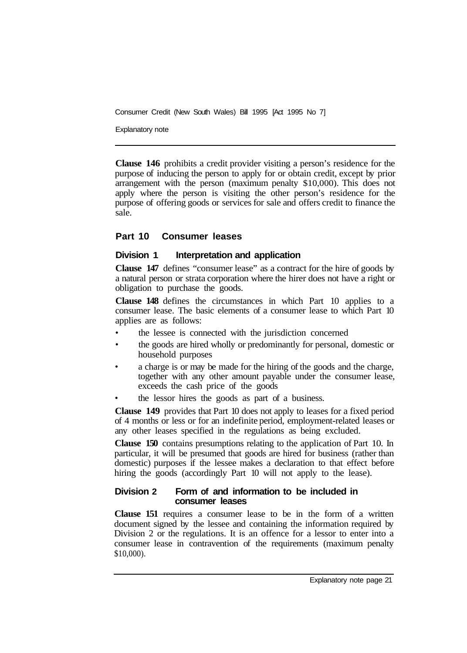Explanatory note

**Clause 146** prohibits a credit provider visiting a person's residence for the purpose of inducing the person to apply for or obtain credit, except by prior arrangement with the person (maximum penalty \$10,000). This does not apply where the person is visiting the other person's residence for the purpose of offering goods or services for sale and offers credit to finance the sale.

## **Part 10 Consumer leases**

## **Division 1** Interpretation and application

**Clause 147** defines "consumer lease" as a contract for the hire of goods by a natural person or strata corporation where the hirer does not have a right or obligation to purchase the goods.

**Clause 148** defines the circumstances in which Part 10 applies to a consumer lease. The basic elements of a consumer lease to which Part 10 applies are as follows:

- the lessee is connected with the jurisdiction concerned
- the goods are hired wholly or predominantly for personal, domestic or household purposes
- a charge is or may be made for the hiring of the goods and the charge, together with any other amount payable under the consumer lease, exceeds the cash price of the goods
- the lessor hires the goods as part of a business.

**Clause 149** provides that Part 10 does not apply to leases for a fixed period of 4 months or less or for an indefinite period, employment-related leases or any other leases specified in the regulations as being excluded.

**Clause 150** contains presumptions relating to the application of Part 10. In particular, it will be presumed that goods are hired for business (rather than domestic) purposes if the lessee makes a declaration to that effect before hiring the goods (accordingly Part 10 will not apply to the lease).

#### **Division 2 Form of and information to be included in consumer leases**

**Clause 151** requires a consumer lease to be in the form of a written document signed by the lessee and containing the information required by Division 2 or the regulations. It is an offence for a lessor to enter into a consumer lease in contravention of the requirements (maximum penalty \$10,000).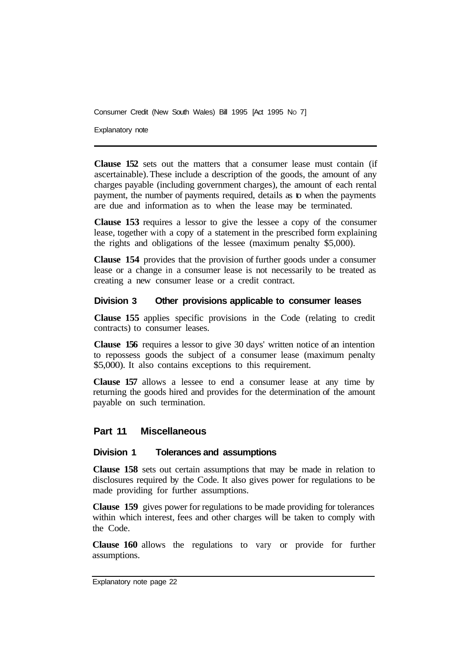Explanatory note

**Clause 152** sets out the matters that a consumer lease must contain (if ascertainable). These include a description of the goods, the amount of any charges payable (including government charges), the amount of each rental payment, the number of payments required, details as to when the payments are due and information as to when the lease may be terminated.

**Clause 153** requires a lessor to give the lessee a copy of the consumer lease, together with a copy of a statement in the prescribed form explaining the rights and obligations of the lessee (maximum penalty \$5,000).

**Clause 154** provides that the provision of further goods under a consumer lease or a change in a consumer lease is not necessarily to be treated as creating a new consumer lease or a credit contract.

#### **Division 3 Other provisions applicable to consumer leases**

**Clause 155** applies specific provisions in the Code (relating to credit contracts) to consumer leases.

**Clause 156** requires a lessor to give 30 days' written notice of an intention to repossess goods the subject of a consumer lease (maximum penalty \$5,000). It also contains exceptions to this requirement.

**Clause 157** allows a lessee to end a consumer lease at any time by returning the goods hired and provides for the determination of the amount payable on such termination.

#### **Part 11 Miscellaneous**

#### **Division 1 Tolerances and assumptions**

**Clause 158** sets out certain assumptions that may be made in relation to disclosures required by the Code. It also gives power for regulations to be made providing for further assumptions.

**Clause 159** gives power for regulations to be made providing for tolerances within which interest, fees and other charges will be taken to comply with the Code.

**Clause 160** allows the regulations to vary or provide for further assumptions.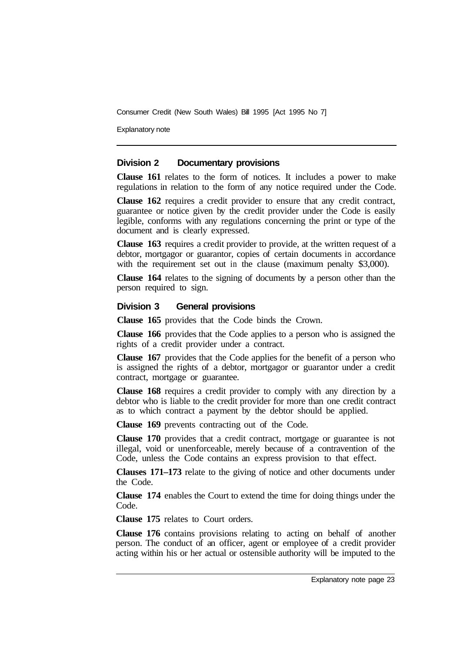Explanatory note

#### **Division 2 Documentary provisions**

**Clause 161** relates to the form of notices. It includes a power to make regulations in relation to the form of any notice required under the Code.

**Clause 162** requires a credit provider to ensure that any credit contract, guarantee or notice given by the credit provider under the Code is easily legible, conforms with any regulations concerning the print or type of the document and is clearly expressed.

**Clause 163** requires a credit provider to provide, at the written request of a debtor, mortgagor or guarantor, copies of certain documents in accordance with the requirement set out in the clause (maximum penalty \$3,000).

**Clause 164** relates to the signing of documents by a person other than the person required to sign.

#### **Division 3 General provisions**

**Clause 165** provides that the Code binds the Crown.

**Clause 166** provides that the Code applies to a person who is assigned the rights of a credit provider under a contract.

**Clause 167** provides that the Code applies for the benefit of a person who is assigned the rights of a debtor, mortgagor or guarantor under a credit contract, mortgage or guarantee.

**Clause 168** requires a credit provider to comply with any direction by a debtor who is liable to the credit provider for more than one credit contract as to which contract a payment by the debtor should be applied.

**Clause 169** prevents contracting out of the Code.

**Clause 170** provides that a credit contract, mortgage or guarantee is not illegal, void or unenforceable, merely because of a contravention of the Code, unless the Code contains an express provision to that effect.

**Clauses 171–173** relate to the giving of notice and other documents under the Code.

**Clause 174** enables the Court to extend the time for doing things under the Code.

**Clause 175** relates to Court orders.

**Clause 176** contains provisions relating to acting on behalf of another person. The conduct of an officer, agent or employee of a credit provider acting within his or her actual or ostensible authority will be imputed to the